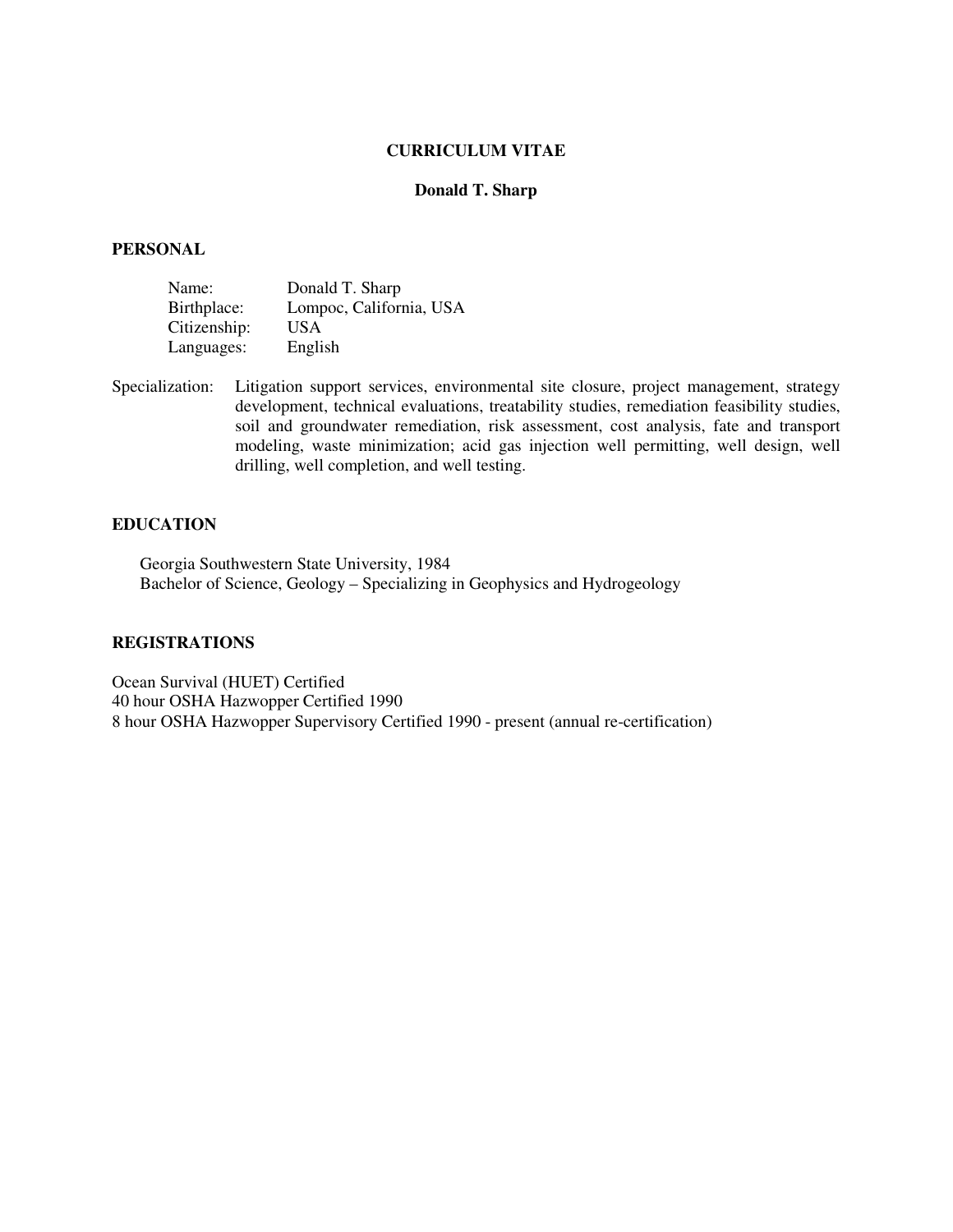## **CURRICULUM VITAE**

## **Donald T. Sharp**

#### **PERSONAL**

| Name:        | Donald T. Sharp         |
|--------------|-------------------------|
| Birthplace:  | Lompoc, California, USA |
| Citizenship: | <b>USA</b>              |
| Languages:   | English                 |

Specialization: Litigation support services, environmental site closure, project management, strategy development, technical evaluations, treatability studies, remediation feasibility studies, soil and groundwater remediation, risk assessment, cost analysis, fate and transport modeling, waste minimization; acid gas injection well permitting, well design, well drilling, well completion, and well testing.

# **EDUCATION**

Georgia Southwestern State University, 1984 Bachelor of Science, Geology – Specializing in Geophysics and Hydrogeology

## **REGISTRATIONS**

Ocean Survival (HUET) Certified 40 hour OSHA Hazwopper Certified 1990 8 hour OSHA Hazwopper Supervisory Certified 1990 - present (annual re-certification)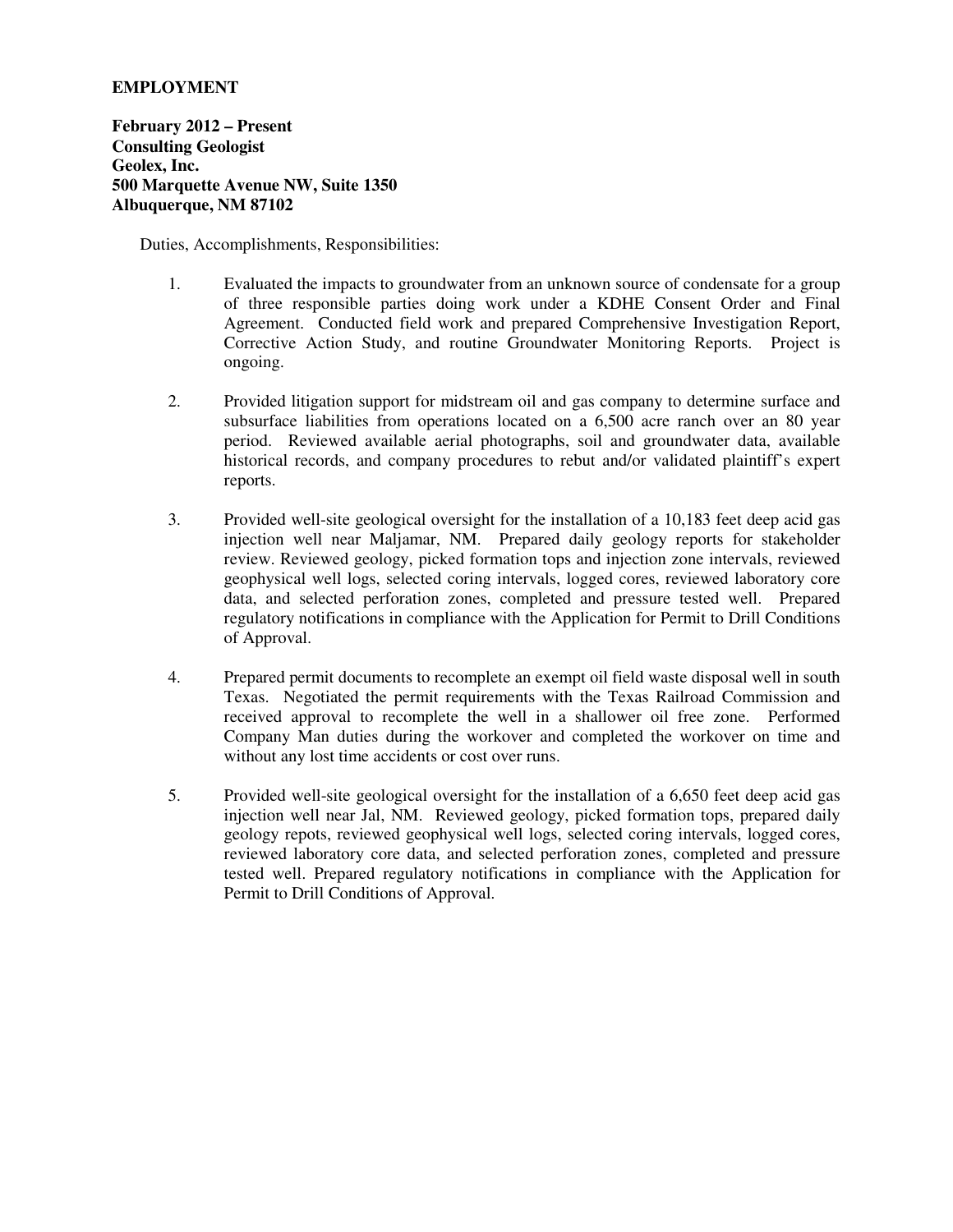# **EMPLOYMENT**

**February 2012 – Present Consulting Geologist Geolex, Inc. 500 Marquette Avenue NW, Suite 1350 Albuquerque, NM 87102** 

- 1. Evaluated the impacts to groundwater from an unknown source of condensate for a group of three responsible parties doing work under a KDHE Consent Order and Final Agreement. Conducted field work and prepared Comprehensive Investigation Report, Corrective Action Study, and routine Groundwater Monitoring Reports. Project is ongoing.
- 2. Provided litigation support for midstream oil and gas company to determine surface and subsurface liabilities from operations located on a 6,500 acre ranch over an 80 year period. Reviewed available aerial photographs, soil and groundwater data, available historical records, and company procedures to rebut and/or validated plaintiff's expert reports.
- 3. Provided well-site geological oversight for the installation of a 10,183 feet deep acid gas injection well near Maljamar, NM. Prepared daily geology reports for stakeholder review. Reviewed geology, picked formation tops and injection zone intervals, reviewed geophysical well logs, selected coring intervals, logged cores, reviewed laboratory core data, and selected perforation zones, completed and pressure tested well. Prepared regulatory notifications in compliance with the Application for Permit to Drill Conditions of Approval.
- 4. Prepared permit documents to recomplete an exempt oil field waste disposal well in south Texas. Negotiated the permit requirements with the Texas Railroad Commission and received approval to recomplete the well in a shallower oil free zone. Performed Company Man duties during the workover and completed the workover on time and without any lost time accidents or cost over runs.
- 5. Provided well-site geological oversight for the installation of a 6,650 feet deep acid gas injection well near Jal, NM. Reviewed geology, picked formation tops, prepared daily geology repots, reviewed geophysical well logs, selected coring intervals, logged cores, reviewed laboratory core data, and selected perforation zones, completed and pressure tested well. Prepared regulatory notifications in compliance with the Application for Permit to Drill Conditions of Approval.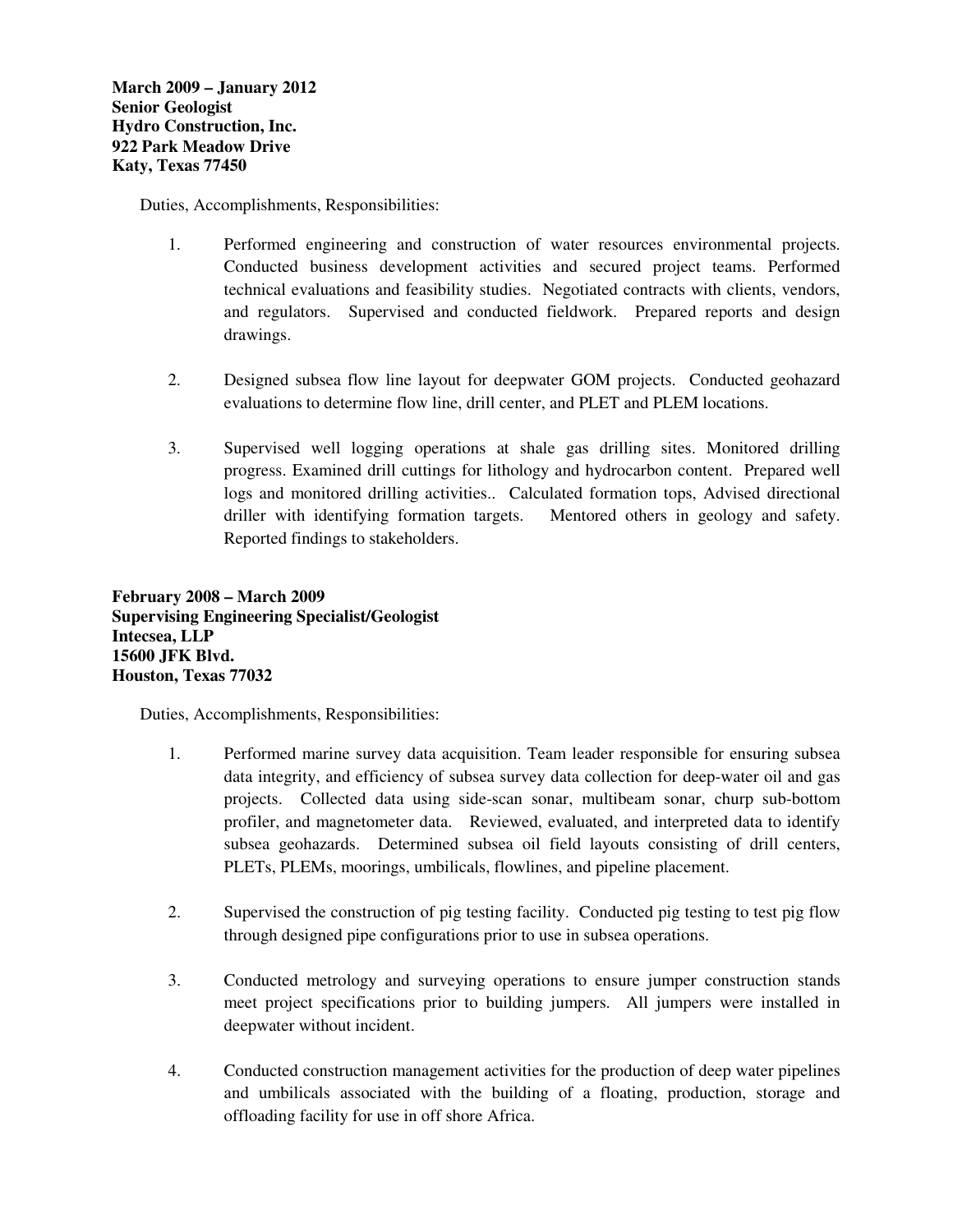Duties, Accomplishments, Responsibilities:

- 1. Performed engineering and construction of water resources environmental projects. Conducted business development activities and secured project teams. Performed technical evaluations and feasibility studies. Negotiated contracts with clients, vendors, and regulators. Supervised and conducted fieldwork. Prepared reports and design drawings.
- 2. Designed subsea flow line layout for deepwater GOM projects. Conducted geohazard evaluations to determine flow line, drill center, and PLET and PLEM locations.
- 3. Supervised well logging operations at shale gas drilling sites. Monitored drilling progress. Examined drill cuttings for lithology and hydrocarbon content. Prepared well logs and monitored drilling activities.. Calculated formation tops, Advised directional driller with identifying formation targets. Mentored others in geology and safety. Reported findings to stakeholders.

**February 2008 – March 2009 Supervising Engineering Specialist/Geologist Intecsea, LLP 15600 JFK Blvd. Houston, Texas 77032** 

- 1. Performed marine survey data acquisition. Team leader responsible for ensuring subsea data integrity, and efficiency of subsea survey data collection for deep-water oil and gas projects. Collected data using side-scan sonar, multibeam sonar, churp sub-bottom profiler, and magnetometer data. Reviewed, evaluated, and interpreted data to identify subsea geohazards. Determined subsea oil field layouts consisting of drill centers, PLETs, PLEMs, moorings, umbilicals, flowlines, and pipeline placement.
- 2. Supervised the construction of pig testing facility. Conducted pig testing to test pig flow through designed pipe configurations prior to use in subsea operations.
- 3. Conducted metrology and surveying operations to ensure jumper construction stands meet project specifications prior to building jumpers. All jumpers were installed in deepwater without incident.
- 4. Conducted construction management activities for the production of deep water pipelines and umbilicals associated with the building of a floating, production, storage and offloading facility for use in off shore Africa.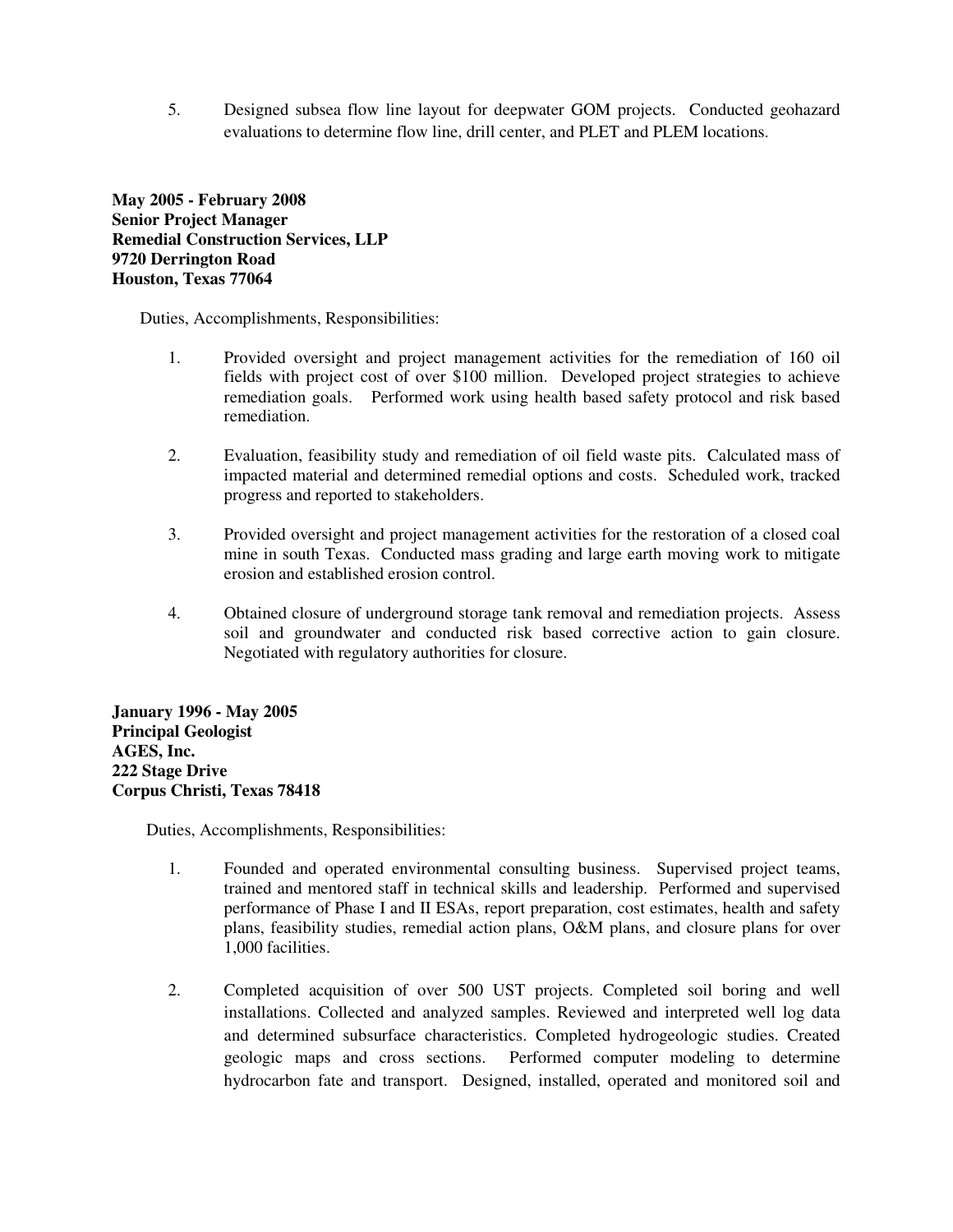5. Designed subsea flow line layout for deepwater GOM projects. Conducted geohazard evaluations to determine flow line, drill center, and PLET and PLEM locations.

**May 2005 - February 2008 Senior Project Manager Remedial Construction Services, LLP 9720 Derrington Road Houston, Texas 77064** 

Duties, Accomplishments, Responsibilities:

- 1. Provided oversight and project management activities for the remediation of 160 oil fields with project cost of over \$100 million. Developed project strategies to achieve remediation goals. Performed work using health based safety protocol and risk based remediation.
- 2. Evaluation, feasibility study and remediation of oil field waste pits. Calculated mass of impacted material and determined remedial options and costs. Scheduled work, tracked progress and reported to stakeholders.
- 3. Provided oversight and project management activities for the restoration of a closed coal mine in south Texas. Conducted mass grading and large earth moving work to mitigate erosion and established erosion control.
- 4. Obtained closure of underground storage tank removal and remediation projects. Assess soil and groundwater and conducted risk based corrective action to gain closure. Negotiated with regulatory authorities for closure.

**January 1996 - May 2005 Principal Geologist AGES, Inc. 222 Stage Drive Corpus Christi, Texas 78418** 

- 1. Founded and operated environmental consulting business. Supervised project teams, trained and mentored staff in technical skills and leadership. Performed and supervised performance of Phase I and II ESAs, report preparation, cost estimates, health and safety plans, feasibility studies, remedial action plans, O&M plans, and closure plans for over 1,000 facilities.
- 2. Completed acquisition of over 500 UST projects. Completed soil boring and well installations. Collected and analyzed samples. Reviewed and interpreted well log data and determined subsurface characteristics. Completed hydrogeologic studies. Created geologic maps and cross sections. Performed computer modeling to determine hydrocarbon fate and transport. Designed, installed, operated and monitored soil and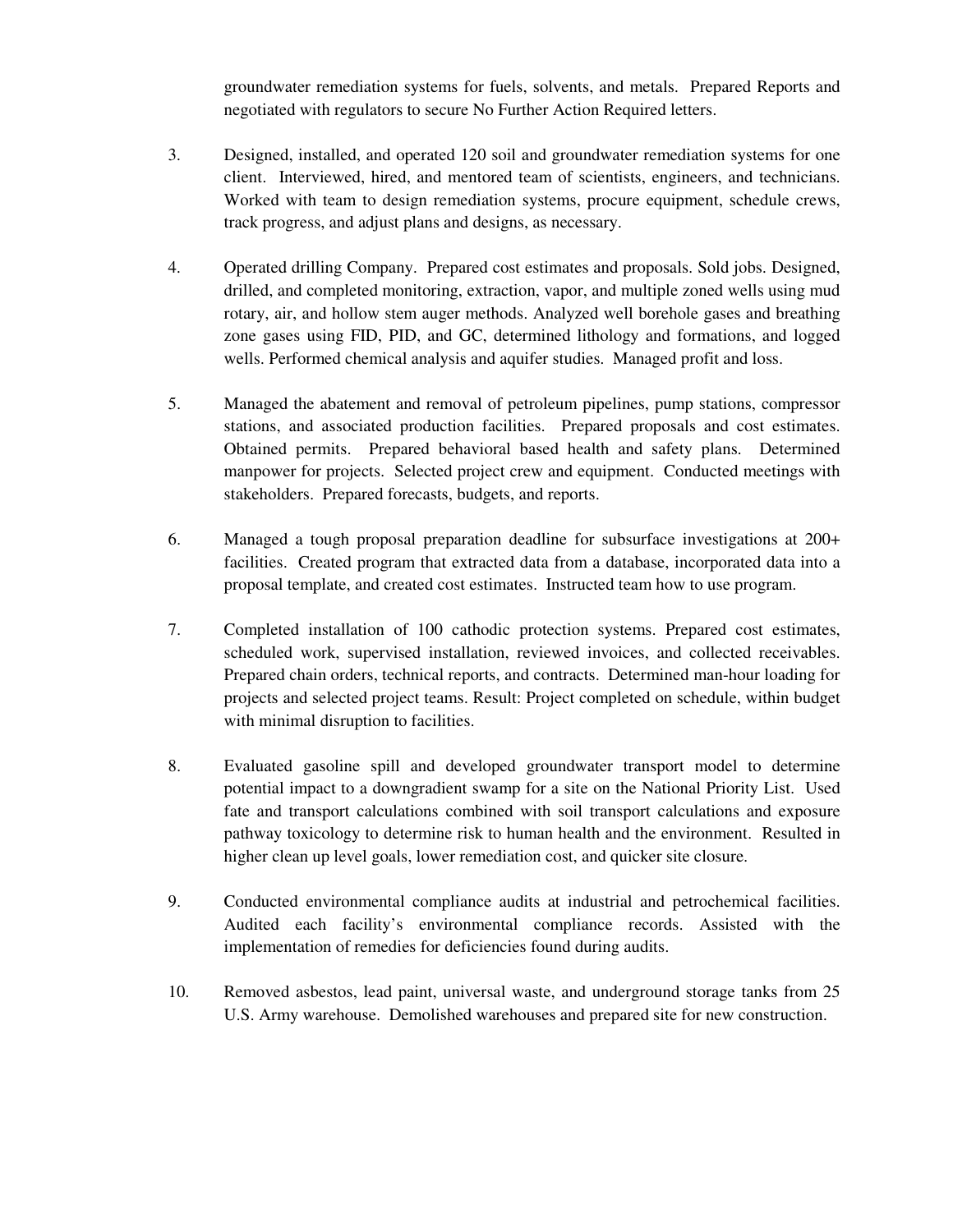groundwater remediation systems for fuels, solvents, and metals. Prepared Reports and negotiated with regulators to secure No Further Action Required letters.

- 3. Designed, installed, and operated 120 soil and groundwater remediation systems for one client. Interviewed, hired, and mentored team of scientists, engineers, and technicians. Worked with team to design remediation systems, procure equipment, schedule crews, track progress, and adjust plans and designs, as necessary.
- 4. Operated drilling Company. Prepared cost estimates and proposals. Sold jobs. Designed, drilled, and completed monitoring, extraction, vapor, and multiple zoned wells using mud rotary, air, and hollow stem auger methods. Analyzed well borehole gases and breathing zone gases using FID, PID, and GC, determined lithology and formations, and logged wells. Performed chemical analysis and aquifer studies. Managed profit and loss.
- 5. Managed the abatement and removal of petroleum pipelines, pump stations, compressor stations, and associated production facilities. Prepared proposals and cost estimates. Obtained permits. Prepared behavioral based health and safety plans. Determined manpower for projects. Selected project crew and equipment. Conducted meetings with stakeholders. Prepared forecasts, budgets, and reports.
- 6. Managed a tough proposal preparation deadline for subsurface investigations at 200+ facilities. Created program that extracted data from a database, incorporated data into a proposal template, and created cost estimates. Instructed team how to use program.
- 7. Completed installation of 100 cathodic protection systems. Prepared cost estimates, scheduled work, supervised installation, reviewed invoices, and collected receivables. Prepared chain orders, technical reports, and contracts. Determined man-hour loading for projects and selected project teams. Result: Project completed on schedule, within budget with minimal disruption to facilities.
- 8. Evaluated gasoline spill and developed groundwater transport model to determine potential impact to a downgradient swamp for a site on the National Priority List. Used fate and transport calculations combined with soil transport calculations and exposure pathway toxicology to determine risk to human health and the environment. Resulted in higher clean up level goals, lower remediation cost, and quicker site closure.
- 9. Conducted environmental compliance audits at industrial and petrochemical facilities. Audited each facility's environmental compliance records. Assisted with the implementation of remedies for deficiencies found during audits.
- 10. Removed asbestos, lead paint, universal waste, and underground storage tanks from 25 U.S. Army warehouse. Demolished warehouses and prepared site for new construction.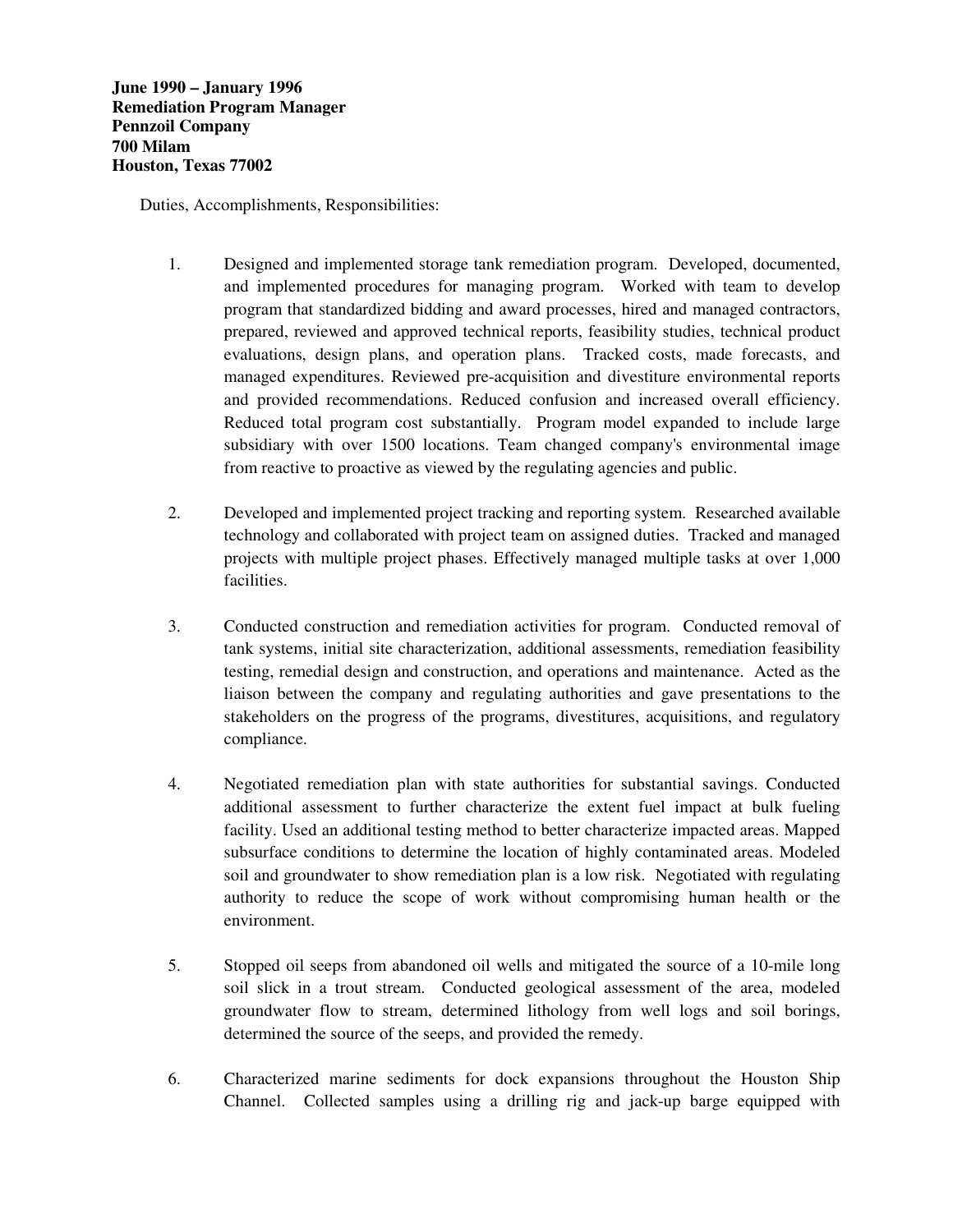- 1. Designed and implemented storage tank remediation program. Developed, documented, and implemented procedures for managing program. Worked with team to develop program that standardized bidding and award processes, hired and managed contractors, prepared, reviewed and approved technical reports, feasibility studies, technical product evaluations, design plans, and operation plans. Tracked costs, made forecasts, and managed expenditures. Reviewed pre-acquisition and divestiture environmental reports and provided recommendations. Reduced confusion and increased overall efficiency. Reduced total program cost substantially. Program model expanded to include large subsidiary with over 1500 locations. Team changed company's environmental image from reactive to proactive as viewed by the regulating agencies and public.
- 2. Developed and implemented project tracking and reporting system. Researched available technology and collaborated with project team on assigned duties. Tracked and managed projects with multiple project phases. Effectively managed multiple tasks at over 1,000 facilities.
- 3. Conducted construction and remediation activities for program. Conducted removal of tank systems, initial site characterization, additional assessments, remediation feasibility testing, remedial design and construction, and operations and maintenance. Acted as the liaison between the company and regulating authorities and gave presentations to the stakeholders on the progress of the programs, divestitures, acquisitions, and regulatory compliance.
- 4. Negotiated remediation plan with state authorities for substantial savings. Conducted additional assessment to further characterize the extent fuel impact at bulk fueling facility. Used an additional testing method to better characterize impacted areas. Mapped subsurface conditions to determine the location of highly contaminated areas. Modeled soil and groundwater to show remediation plan is a low risk. Negotiated with regulating authority to reduce the scope of work without compromising human health or the environment.
- 5. Stopped oil seeps from abandoned oil wells and mitigated the source of a 10-mile long soil slick in a trout stream. Conducted geological assessment of the area, modeled groundwater flow to stream, determined lithology from well logs and soil borings, determined the source of the seeps, and provided the remedy.
- 6. Characterized marine sediments for dock expansions throughout the Houston Ship Channel. Collected samples using a drilling rig and jack-up barge equipped with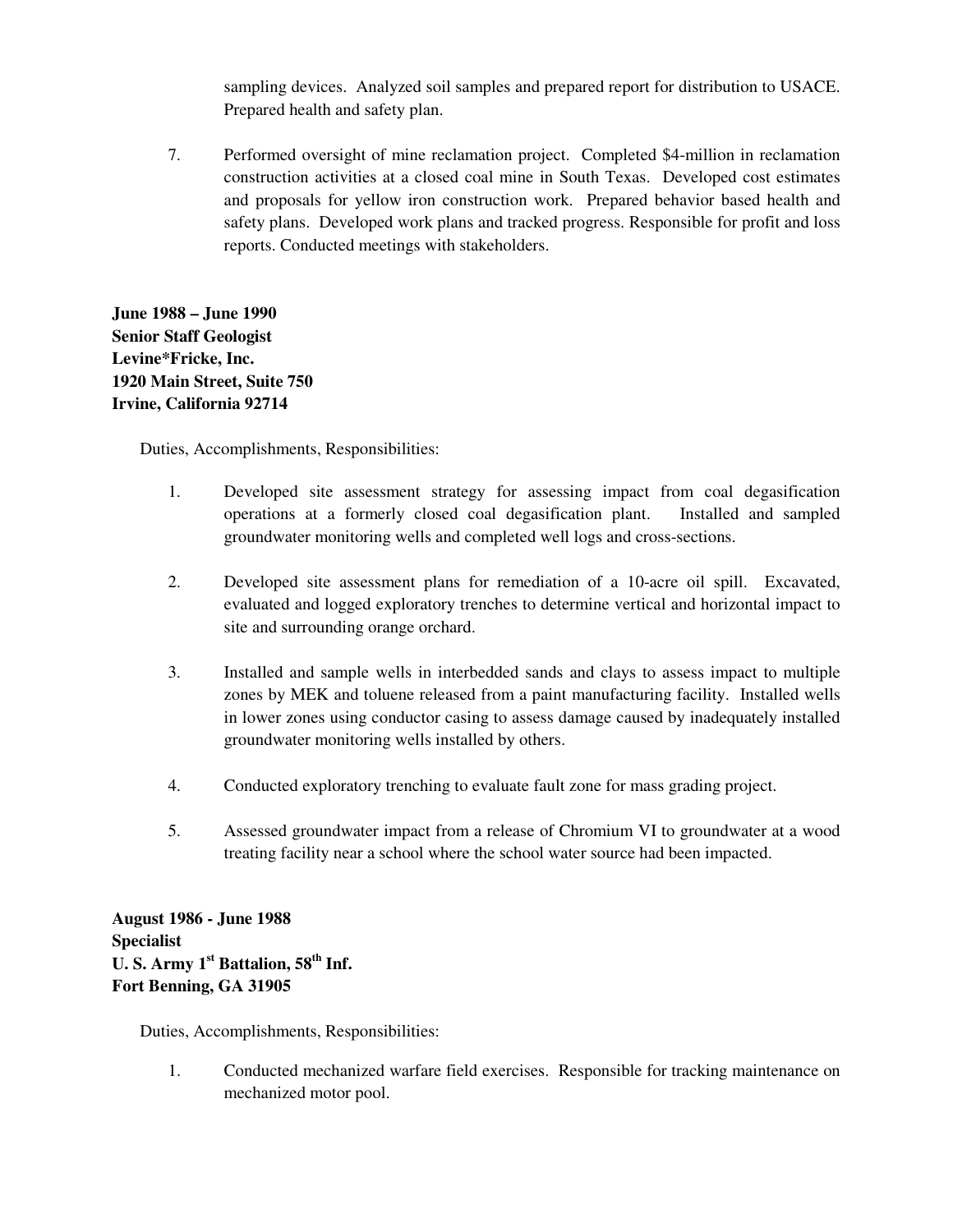sampling devices. Analyzed soil samples and prepared report for distribution to USACE. Prepared health and safety plan.

7. Performed oversight of mine reclamation project. Completed \$4-million in reclamation construction activities at a closed coal mine in South Texas. Developed cost estimates and proposals for yellow iron construction work. Prepared behavior based health and safety plans. Developed work plans and tracked progress. Responsible for profit and loss reports. Conducted meetings with stakeholders.

**June 1988 – June 1990 Senior Staff Geologist Levine\*Fricke, Inc. 1920 Main Street, Suite 750 Irvine, California 92714**

Duties, Accomplishments, Responsibilities:

- 1. Developed site assessment strategy for assessing impact from coal degasification operations at a formerly closed coal degasification plant. Installed and sampled groundwater monitoring wells and completed well logs and cross-sections.
- 2. Developed site assessment plans for remediation of a 10-acre oil spill. Excavated, evaluated and logged exploratory trenches to determine vertical and horizontal impact to site and surrounding orange orchard.
- 3. Installed and sample wells in interbedded sands and clays to assess impact to multiple zones by MEK and toluene released from a paint manufacturing facility. Installed wells in lower zones using conductor casing to assess damage caused by inadequately installed groundwater monitoring wells installed by others.
- 4. Conducted exploratory trenching to evaluate fault zone for mass grading project.
- 5. Assessed groundwater impact from a release of Chromium VI to groundwater at a wood treating facility near a school where the school water source had been impacted.

**August 1986 - June 1988 Specialist U. S. Army 1st Battalion, 58th Inf. Fort Benning, GA 31905**

Duties, Accomplishments, Responsibilities:

1. Conducted mechanized warfare field exercises. Responsible for tracking maintenance on mechanized motor pool.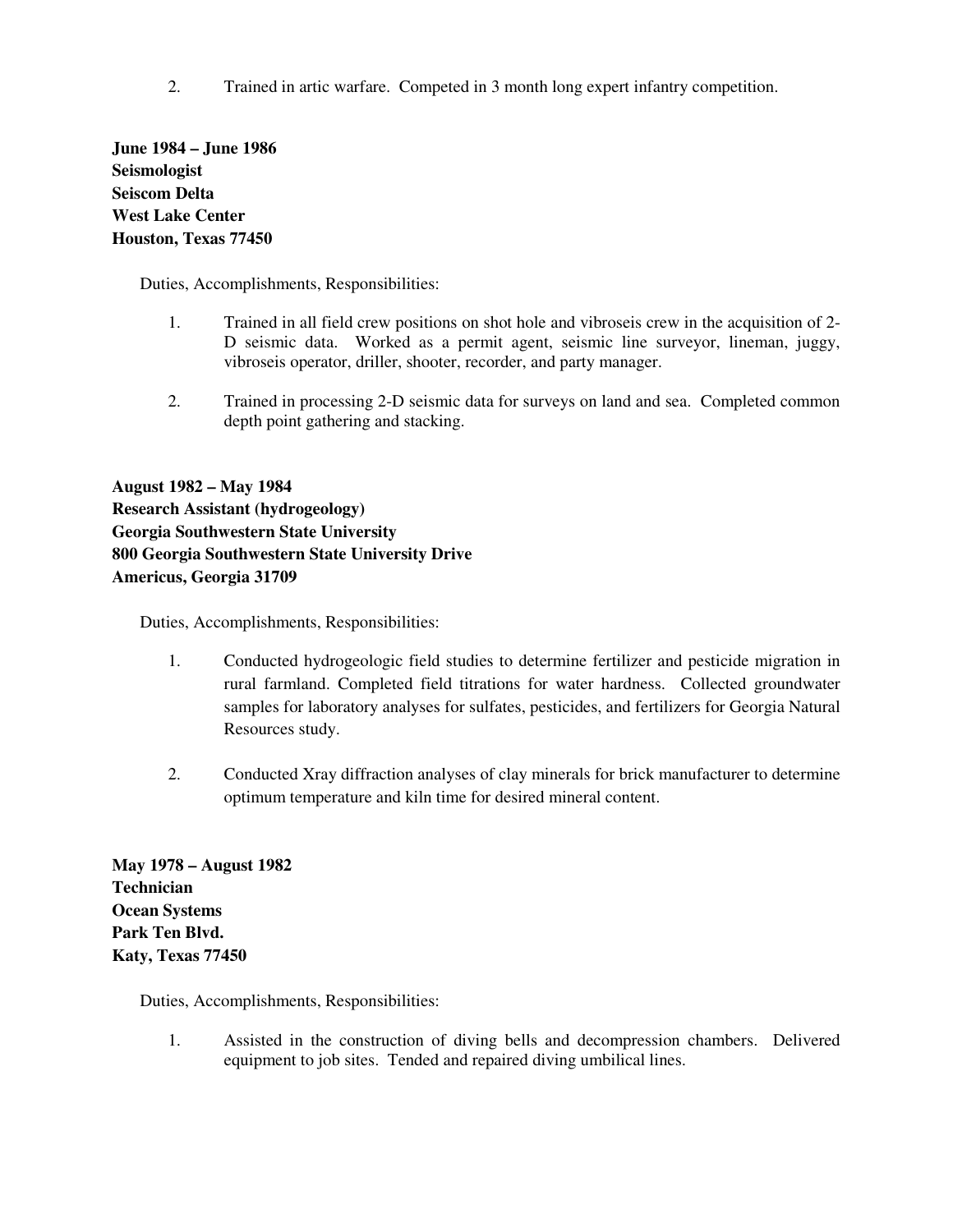2. Trained in artic warfare. Competed in 3 month long expert infantry competition.

**June 1984 – June 1986 Seismologist Seiscom Delta West Lake Center Houston, Texas 77450** 

Duties, Accomplishments, Responsibilities:

- 1. Trained in all field crew positions on shot hole and vibroseis crew in the acquisition of 2- D seismic data. Worked as a permit agent, seismic line surveyor, lineman, juggy, vibroseis operator, driller, shooter, recorder, and party manager.
- 2. Trained in processing 2-D seismic data for surveys on land and sea. Completed common depth point gathering and stacking.

**August 1982 – May 1984 Research Assistant (hydrogeology) Georgia Southwestern State University 800 Georgia Southwestern State University Drive Americus, Georgia 31709** 

Duties, Accomplishments, Responsibilities:

- 1. Conducted hydrogeologic field studies to determine fertilizer and pesticide migration in rural farmland. Completed field titrations for water hardness. Collected groundwater samples for laboratory analyses for sulfates, pesticides, and fertilizers for Georgia Natural Resources study.
- 2. Conducted Xray diffraction analyses of clay minerals for brick manufacturer to determine optimum temperature and kiln time for desired mineral content.

**May 1978 – August 1982 Technician Ocean Systems Park Ten Blvd. Katy, Texas 77450** 

Duties, Accomplishments, Responsibilities:

1. Assisted in the construction of diving bells and decompression chambers. Delivered equipment to job sites. Tended and repaired diving umbilical lines.